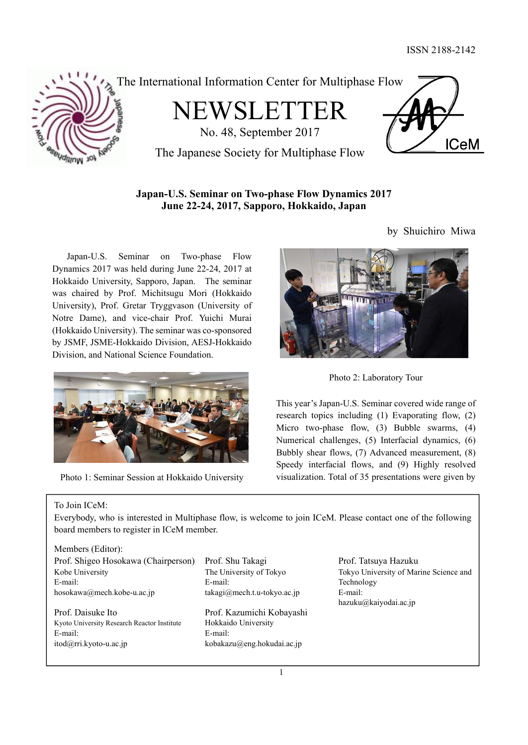

The International Information Center for Multiphase Flow

NEWSLETTER



by Shuichiro Miwa

No. 48, September 2017 The Japanese Society for Multiphase Flow

### **Japan-U.S. Seminar on Two-phase Flow Dynamics 2017 June 22-24, 2017, Sapporo, Hokkaido, Japan**

 Japan-U.S. Seminar on Two-phase Flow Dynamics 2017 was held during June 22-24, 2017 at Hokkaido University, Sapporo, Japan. The seminar was chaired by Prof. Michitsugu Mori (Hokkaido University), Prof. Gretar Tryggvason (University of Notre Dame), and vice-chair Prof. Yuichi Murai (Hokkaido University). The seminar was co-sponsored by JSMF, JSME-Hokkaido Division, AESJ-Hokkaido Division, and National Science Foundation.



Photo 1: Seminar Session at Hokkaido University



Photo 2: Laboratory Tour

This year's Japan-U.S. Seminar covered wide range of research topics including (1) Evaporating flow, (2) Micro two-phase flow, (3) Bubble swarms, (4) Numerical challenges, (5) Interfacial dynamics, (6) Bubbly shear flows, (7) Advanced measurement, (8) Speedy interfacial flows, and (9) Highly resolved visualization. Total of 35 presentations were given by

### To Join ICeM:

Everybody, who is interested in Multiphase flow, is welcome to join ICeM. Please contact one of the following board members to register in ICeM member.

#### Members (Editor):

| Prof. Shigeo Hosokawa (Chairperson)         |
|---------------------------------------------|
| Kobe University                             |
| E-mail:                                     |
| hosokawa@mech.kobe-u.ac.jp                  |
|                                             |
| Prof. Daisuke Ito                           |
| Kyoto University Research Reactor Institute |

E-mail: E-mail: itod@rri.kyoto-u.ac.jp kobakazu@eng.hokudai.ac.jp

Prof. Shu Takagi Prof. Tatsuya Hazuku The University of Tokyo E-mail: takagi@mech.t.u-tokyo.ac.jp

Prof. Kazumichi Kobayashi Hokkaido University

Tokyo University of Marine Science and Technology E-mail: hazuku@kaiyodai.ac.jp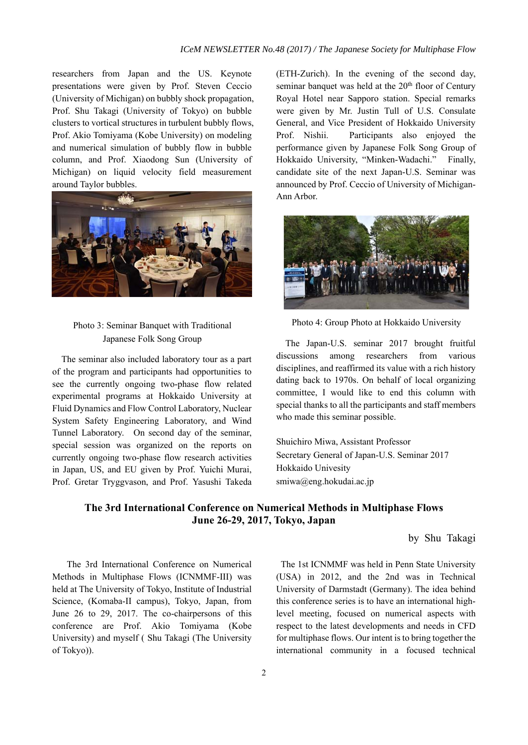researchers from Japan and the US. Keynote presentations were given by Prof. Steven Ceccio (University of Michigan) on bubbly shock propagation, Prof. Shu Takagi (University of Tokyo) on bubble clusters to vortical structures in turbulent bubbly flows, Prof. Akio Tomiyama (Kobe University) on modeling and numerical simulation of bubbly flow in bubble column, and Prof. Xiaodong Sun (University of Michigan) on liquid velocity field measurement around Taylor bubbles.



# Japanese Folk Song Group

The seminar also included laboratory tour as a part of the program and participants had opportunities to see the currently ongoing two-phase flow related experimental programs at Hokkaido University at Fluid Dynamics and Flow Control Laboratory, Nuclear System Safety Engineering Laboratory, and Wind Tunnel Laboratory. On second day of the seminar, special session was organized on the reports on currently ongoing two-phase flow research activities in Japan, US, and EU given by Prof. Yuichi Murai, Prof. Gretar Tryggvason, and Prof. Yasushi Takeda

(ETH-Zurich). In the evening of the second day, seminar banquet was held at the  $20<sup>th</sup>$  floor of Century Royal Hotel near Sapporo station. Special remarks were given by Mr. Justin Tull of U.S. Consulate General, and Vice President of Hokkaido University Prof. Nishii. Participants also enjoyed the performance given by Japanese Folk Song Group of Hokkaido University, "Minken-Wadachi." Finally, candidate site of the next Japan-U.S. Seminar was announced by Prof. Ceccio of University of Michigan-Ann Arbor.



Photo 4: Group Photo at Hokkaido University Photo 3: Seminar Banquet with Traditional

The Japan-U.S. seminar 2017 brought fruitful discussions among researchers from various disciplines, and reaffirmed its value with a rich history dating back to 1970s. On behalf of local organizing committee, I would like to end this column with special thanks to all the participants and staff members who made this seminar possible.

Shuichiro Miwa, Assistant Professor Secretary General of Japan-U.S. Seminar 2017 Hokkaido Univesity smiwa@eng.hokudai.ac.jp

#### **The 3rd International Conference on Numerical Methods in Multiphase Flows June 26-29, 2017, Tokyo, Japan**

by Shu Takagi

 The 3rd International Conference on Numerical Methods in Multiphase Flows (ICNMMF-III) was held at The University of Tokyo, Institute of Industrial Science, (Komaba-II campus), Tokyo, Japan, from June 26 to 29, 2017. The co-chairpersons of this conference are Prof. Akio Tomiyama (Kobe University) and myself ( Shu Takagi (The University of Tokyo)).

The 1st ICNMMF was held in Penn State University (USA) in 2012, and the 2nd was in Technical University of Darmstadt (Germany). The idea behind this conference series is to have an international highlevel meeting, focused on numerical aspects with respect to the latest developments and needs in CFD for multiphase flows. Our intent is to bring together the international community in a focused technical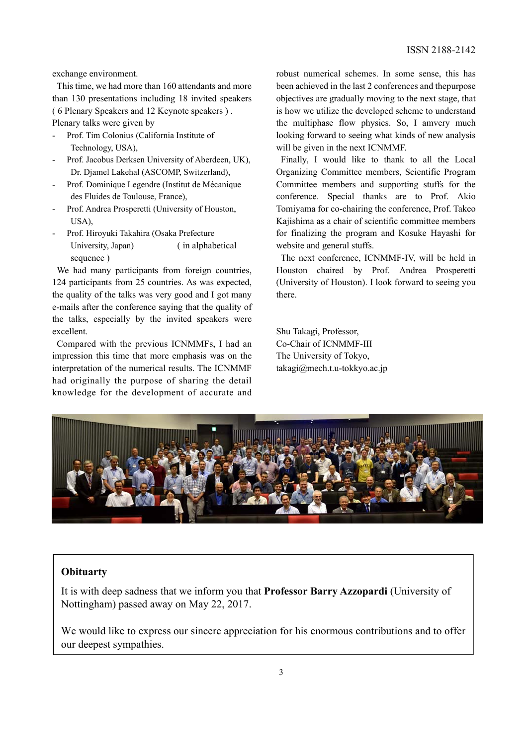exchange environment.

This time, we had more than 160 attendants and more than 130 presentations including 18 invited speakers ( 6 Plenary Speakers and 12 Keynote speakers ) . Plenary talks were given by

- Prof. Tim Colonius (California Institute of Technology, USA),
- Prof. Jacobus Derksen University of Aberdeen, UK), Dr. Djamel Lakehal (ASCOMP, Switzerland),
- Prof. Dominique Legendre (Institut de Mécanique des Fluides de Toulouse, France),
- Prof. Andrea Prosperetti (University of Houston, USA),
- Prof. Hiroyuki Takahira (Osaka Prefecture University, Japan) (in alphabetical sequence )

We had many participants from foreign countries, 124 participants from 25 countries. As was expected, the quality of the talks was very good and I got many e-mails after the conference saying that the quality of the talks, especially by the invited speakers were excellent.

Compared with the previous ICNMMFs, I had an impression this time that more emphasis was on the interpretation of the numerical results. The ICNMMF had originally the purpose of sharing the detail knowledge for the development of accurate and

robust numerical schemes. In some sense, this has been achieved in the last 2 conferences and thepurpose objectives are gradually moving to the next stage, that is how we utilize the developed scheme to understand the multiphase flow physics. So, I amvery much looking forward to seeing what kinds of new analysis will be given in the next ICNMMF.

Finally, I would like to thank to all the Local Organizing Committee members, Scientific Program Committee members and supporting stuffs for the conference. Special thanks are to Prof. Akio Tomiyama for co-chairing the conference, Prof. Takeo Kajishima as a chair of scientific committee members for finalizing the program and Kosuke Hayashi for website and general stuffs.

The next conference, ICNMMF-IV, will be held in Houston chaired by Prof. Andrea Prosperetti (University of Houston). I look forward to seeing you there.

Shu Takagi, Professor, Co-Chair of ICNMMF-III The University of Tokyo, takagi@mech.t.u-tokkyo.ac.jp



#### **Obituarty**

It is with deep sadness that we inform you that **Professor Barry Azzopardi** (University of Nottingham) passed away on May 22, 2017.

We would like to express our sincere appreciation for his enormous contributions and to offer our deepest sympathies.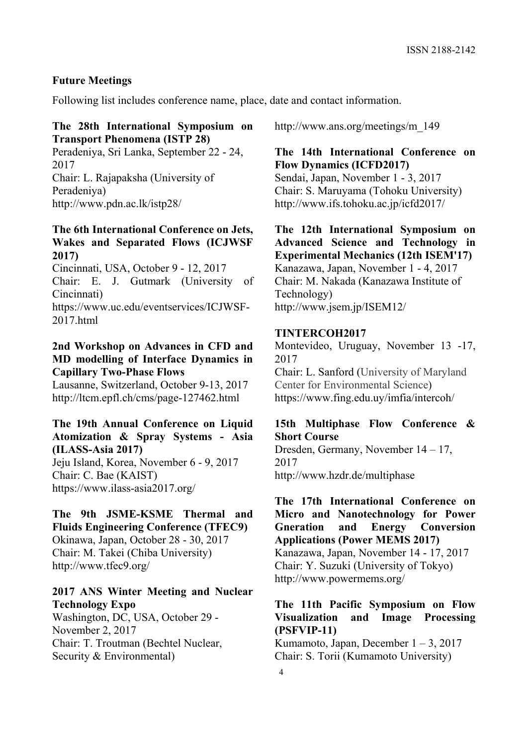#### **Future Meetings**

Following list includes conference name, place, date and contact information.

#### **The 28th International Symposium on Transport Phenomena (ISTP 28)**

Peradeniya, Sri Lanka, September 22 - 24, 2017 Chair: L. Rajapaksha (University of Peradeniya) http://www.pdn.ac.lk/istp28/

### **The 6th International Conference on Jets, Wakes and Separated Flows (ICJWSF 2017)**

Cincinnati, USA, October 9 - 12, 2017

Chair: E. J. Gutmark (University of Cincinnati)

https://www.uc.edu/eventservices/ICJWSF-2017.html

### **2nd Workshop on Advances in CFD and MD modelling of Interface Dynamics in Capillary Two-Phase Flows**

Lausanne, Switzerland, October 9-13, 2017 http://ltcm.epfl.ch/cms/page-127462.html

## **The 19th Annual Conference on Liquid Atomization & Spray Systems - Asia (ILASS-Asia 2017)**

Jeju Island, Korea, November 6 - 9, 2017 Chair: C. Bae (KAIST) https://www.ilass-asia2017.org/

#### **The 9th JSME-KSME Thermal and Fluids Engineering Conference (TFEC9)**

Okinawa, Japan, October 28 - 30, 2017 Chair: M. Takei (Chiba University) http://www.tfec9.org/

### **2017 ANS Winter Meeting and Nuclear Technology Expo**

Washington, DC, USA, October 29 - November 2, 2017 Chair: T. Troutman (Bechtel Nuclear, Security & Environmental)

http://www.ans.org/meetings/m\_149

### **The 14th International Conference on Flow Dynamics (ICFD2017)**

Sendai, Japan, November 1 - 3, 2017 Chair: S. Maruyama (Tohoku University) http://www.ifs.tohoku.ac.jp/icfd2017/

## **The 12th International Symposium on Advanced Science and Technology in Experimental Mechanics (12th ISEM'17)**  Kanazawa, Japan, November 1 - 4, 2017 Chair: M. Nakada (Kanazawa Institute of Technology) http://www.jsem.jp/ISEM12/

#### **TINTERCOH2017**

Montevideo, Uruguay, November 13 -17, 2017

Chair: L. Sanford (University of Maryland Center for Environmental Science) https://www.fing.edu.uy/imfia/intercoh/

## **15th Multiphase Flow Conference & Short Course**

Dresden, Germany, November 14 – 17, 2017 http://www.hzdr.de/multiphase

**The 17th International Conference on Micro and Nanotechnology for Power Gneration and Energy Conversion Applications (Power MEMS 2017)**  Kanazawa, Japan, November 14 - 17, 2017 Chair: Y. Suzuki (University of Tokyo) http://www.powermems.org/

#### **The 11th Pacific Symposium on Flow Visualization and Image Processing (PSFVIP-11)**

Kumamoto, Japan, December  $1 - 3$ , 2017 Chair: S. Torii (Kumamoto University)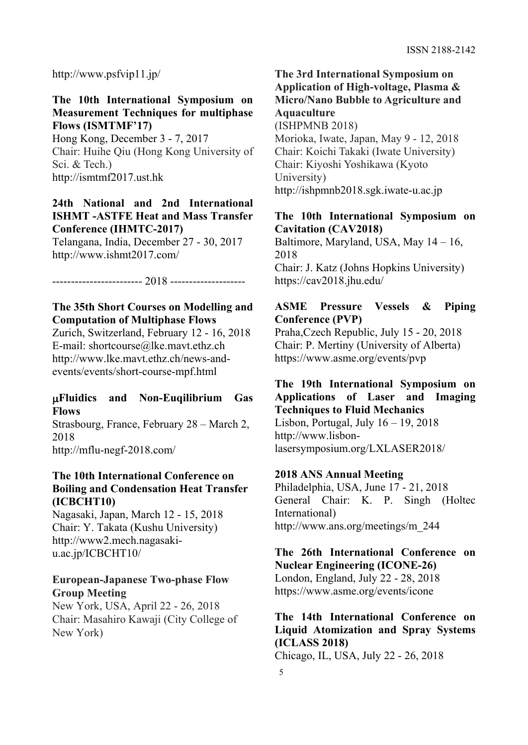http://www.psfvip11.jp/

### **The 10th International Symposium on Measurement Techniques for multiphase Flows (ISMTMF'17)**

Hong Kong, December 3 - 7, 2017 Chair: Huihe Qiu (Hong Kong University of Sci. & Tech.) http://ismtmf2017.ust.hk

**24th National and 2nd International ISHMT -ASTFE Heat and Mass Transfer Conference (IHMTC-2017)** 

Telangana, India, December 27 - 30, 2017 http://www.ishmt2017.com/

------------------------ 2018 --------------------

## **The 35th Short Courses on Modelling and Computation of Multiphase Flows**

Zurich, Switzerland, February 12 - 16, 2018 E-mail: shortcourse@lke.mavt.ethz.ch http://www.lke.mavt.ethz.ch/news-andevents/events/short-course-mpf.html

## **Fluidics and Non-Euqilibrium Gas Flows**

Strasbourg, France, February 28 – March 2, 2018 http://mflu-negf-2018.com/

### **The 10th International Conference on Boiling and Condensation Heat Transfer (ICBCHT10)**

Nagasaki, Japan, March 12 - 15, 2018 Chair: Y. Takata (Kushu University) http://www2.mech.nagasakiu.ac.jp/ICBCHT10/

## **European-Japanese Two-phase Flow Group Meeting**

New York, USA, April 22 - 26, 2018 Chair: Masahiro Kawaji (City College of New York)

**The 3rd International Symposium on Application of High-voltage, Plasma & Micro/Nano Bubble to Agriculture and Aquaculture** (ISHPMNB 2018) Morioka, Iwate, Japan, May 9 - 12, 2018 Chair: Koichi Takaki (Iwate University) Chair: Kiyoshi Yoshikawa (Kyoto University) http://ishpmnb2018.sgk.iwate-u.ac.jp

## **The 10th International Symposium on Cavitation (CAV2018)**

Baltimore, Maryland, USA, May 14 – 16, 2018 Chair: J. Katz (Johns Hopkins University) https://cav2018.jhu.edu/

## **ASME Pressure Vessels & Piping Conference (PVP)**

Praha,Czech Republic, July 15 - 20, 2018 Chair: P. Mertiny (University of Alberta) https://www.asme.org/events/pvp

### **The 19th International Symposium on Applications of Laser and Imaging Techniques to Fluid Mechanics**

Lisbon, Portugal, July  $16 - 19$ , 2018 http://www.lisbonlasersymposium.org/LXLASER2018/

## **2018 ANS Annual Meeting**

Philadelphia, USA, June 17 - 21, 2018 General Chair: K. P. Singh (Holtec International) http://www.ans.org/meetings/m\_244

#### **The 26th International Conference on Nuclear Engineering (ICONE-26)**

London, England, July 22 - 28, 2018 https://www.asme.org/events/icone

## **The 14th International Conference on Liquid Atomization and Spray Systems (ICLASS 2018)**

Chicago, IL, USA, July 22 - 26, 2018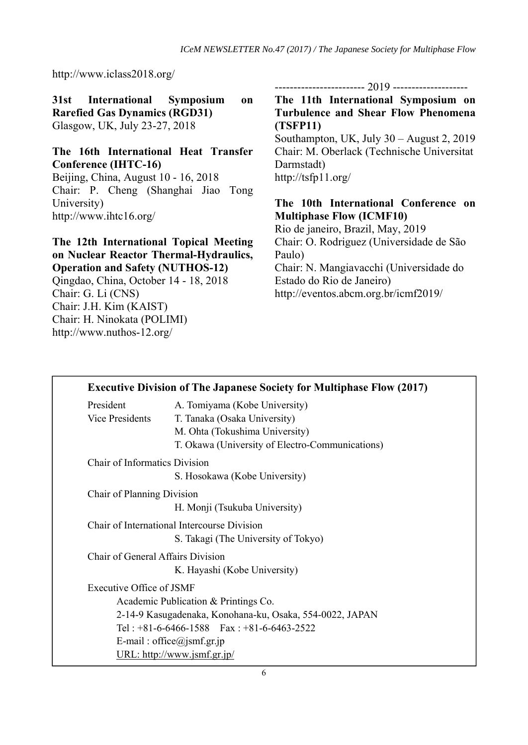http://www.iclass2018.org/

**31st International Symposium on Rarefied Gas Dynamics (RGD31)**  Glasgow, UK, July 23-27, 2018

## **The 16th International Heat Transfer Conference (IHTC-16)**

Beijing, China, August 10 - 16, 2018 Chair: P. Cheng (Shanghai Jiao Tong University) http://www.ihtc16.org/

**The 12th International Topical Meeting on Nuclear Reactor Thermal-Hydraulics, Operation and Safety (NUTHOS-12)** 

Qingdao, China, October 14 - 18, 2018 Chair: G. Li (CNS) Chair: J.H. Kim (KAIST) Chair: H. Ninokata (POLIMI) http://www.nuthos-12.org/

------------------------ 2019 --------------------

**The 11th International Symposium on Turbulence and Shear Flow Phenomena (TSFP11)**  Southampton, UK, July 30 – August 2, 2019 Chair: M. Oberlack (Technische Universitat Darmstadt)

http://tsfp11.org/

## **The 10th International Conference on Multiphase Flow (ICMF10)**

Rio de janeiro, Brazil, May, 2019 Chair: O. Rodriguez (Universidade de São Paulo) Chair: N. Mangiavacchi (Universidade do Estado do Rio de Janeiro) http://eventos.abcm.org.br/icmf2019/

| <b>Executive Division of The Japanese Society for Multiphase Flow (2017)</b> |                                                               |  |
|------------------------------------------------------------------------------|---------------------------------------------------------------|--|
| President<br>Vice Presidents                                                 | A. Tomiyama (Kobe University)<br>T. Tanaka (Osaka University) |  |
|                                                                              | M. Ohta (Tokushima University)                                |  |
|                                                                              | T. Okawa (University of Electro-Communications)               |  |
| <b>Chair of Informatics Division</b>                                         |                                                               |  |
|                                                                              | S. Hosokawa (Kobe University)                                 |  |
| Chair of Planning Division                                                   |                                                               |  |
|                                                                              | H. Monji (Tsukuba University)                                 |  |
| Chair of International Intercourse Division                                  |                                                               |  |
|                                                                              | S. Takagi (The University of Tokyo)                           |  |
| Chair of General Affairs Division                                            |                                                               |  |
|                                                                              | K. Hayashi (Kobe University)                                  |  |
| Executive Office of JSMF                                                     |                                                               |  |
| Academic Publication & Printings Co.                                         |                                                               |  |
| 2-14-9 Kasugadenaka, Konohana-ku, Osaka, 554-0022, JAPAN                     |                                                               |  |
|                                                                              | Tel: $+81-6-6466-1588$ Fax: $+81-6-6463-2522$                 |  |
| E-mail: office@jsmf.gr.jp                                                    |                                                               |  |
|                                                                              | URL: http://www.jsmf.gr.jp/                                   |  |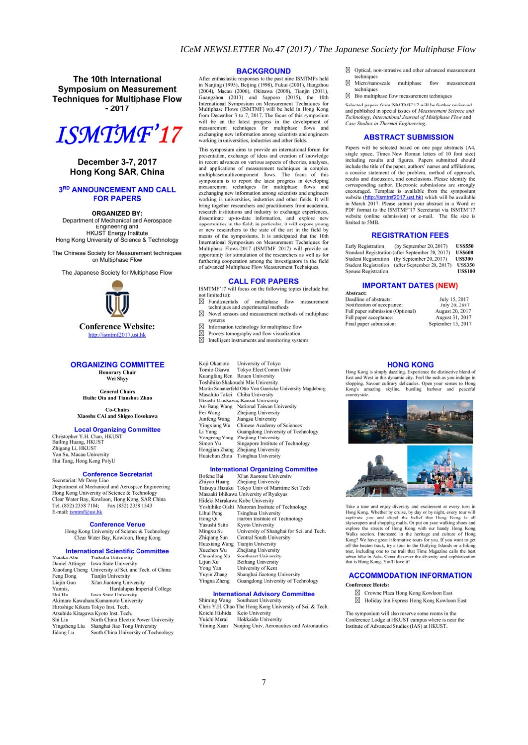The 10th International **Symposium on Measurement Techniques for Multiphase Flow**  $-2017$ 



#### December 3-7, 2017 Hong Kong SAR, China

#### 3RD ANNOUNCEMENT AND CALL **FOR PAPERS**

**ORGANIZED BY:** 

Department of Mechanical and Aerospace Engineering and **HKUST** Energy Institute Hong Kong University of Science & Technology

The Chinese Society for Measurement techniques on Multiphase Flow

The Japanese Society for Multiphase Flow



**Conference Website:** http://ismtmf2017.ust.hk

#### **ORGANIZING COMMITTEE**

**Honorary Chair**<br>Wei Shyy

**General Chairs** Huihe Qiu and Tianshou Zhao

**Co-Chairs Xiaoshu CAi and Shigeo Hosokawa** 

**Local Organizing Committee** 

Christopher Y.H. Chao, HKUST<br>Bailing Huang, HKUST **Zhigang Li, HKUST<br>Yan Su, Macau University** Hui Tang, Hong Kong PolyU

#### **Conference Secretariat**

Secretariat: Mr Dong Liao<br>Department of Mechanical and Aerospace Engineering Hong Kong University of Science & Technology<br>Clear Water Bay, Kowloon, Hong Kong, SAR China Tel. (852) 2358 7184; Fax (852) 2358 1543<br>E-mail: **ismtmf@ust.hk** 

#### **Conference Venue**

Hong Kong University of Science & Technology<br>Clear Water Bay, Kowloon, Hong Kong

#### **International Scientific Committee**

| ,,,,,,,,,,,,,,,,                                  |                                       |  |
|---------------------------------------------------|---------------------------------------|--|
| Daniel Attinger                                   | <b>Iowa State University</b>          |  |
| Xiaofang Cheng                                    | University of Sci. and Tech. of China |  |
| Feng Dong                                         | <b>Tianjin University</b>             |  |
| Xi'an Jiaotong University<br>Liejin Guo           |                                       |  |
| Yannis.<br>Hardalupas Imperial College            |                                       |  |
| Hui Hu                                            | <b>Iowa State University</b>          |  |
|                                                   | Akimaro Kawahara Kumamoto University  |  |
|                                                   | Hiroshige Kikura Tokyo Inst. Tech.    |  |
|                                                   | Atsuhide Kitagawa Kyoto Inst. Tech.   |  |
| Shi Liu                                           | North China Electric Power University |  |
| Yingzheng Liu                                     | Shanghai Jiao Tong University         |  |
| South China University of Technology<br>lidone Lu |                                       |  |

#### **BACKGROUND**

After enthusiastic responses to the past nine ISMTMFs held<br>in Nanjing (1995), Beijing (1998), Fukui (2001), Hangzhou (2004), Macau (2006), Okinawa (2008), Tianjin (2011), Guangzhou (2013) and Sapporo (2015), the 10th International Symposium on Measurement Techniques for<br>Multiphase Flows (ISMTMF) will be held in Hong Kong Numprise Frows (1880) The frequency of the focus of this symposium<br>from December 3 to 7, 2017. The focus of this symposium<br>will be on the latest progress in the development of<br>measurement techniques for multiphase flows a exchanging new information among scientists and engineers working in universities, industries and other fields.

This symposium aims to provide an international forum for presentation, exchange of ideas and creation of knowledge<br>in recent advances on various aspects of theories, analyses, and applications of measurement techniques in complex<br>multiphase/multicomponent flows. The focus of this symposium is to report the latest progress in developing<br>measurement techniques for multiphase flows and exchanging new information among scientists and engineers<br>working in universities, industries and other fields. It will bring together researchers and practitioners from academia, research institutions and industry to exchange experiences,<br>disseminate up-to-date information, and explore new<br>opportunities in the field; in particular, it will expose young or new researchers to the state of the art in the field by<br>means of the symposiums. It is anticipated that the 10th International Symposium on Measurement Techniques for<br>Multiphase Flows-2017 (ISMTMF 2017) will provide an opportunity for stimulation of the researchers as well as for furthering cooperation among the investigators in the field of advanced Multiphase Flow Measurement Techniques.

#### **CALL FOR PAPERS**

ISMTMF'17 will focus on the following topics (include but not limited to):

 $\boxtimes$  Fundamentals of multiphase flow measurement techniques and experimental methods

- ⊠ Novel sensors and measurement methods of multiphase systems
- M Information technology for multiphase flow
- xx Process tomography and flow visualization<br>Intelligent instruments and monitoring systems
- 

| Koji Okamoto   | University of Tokyo                                      |  |
|----------------|----------------------------------------------------------|--|
| Tomio Okawa    | Tokyo Elect Comm Univ                                    |  |
| Kuangfang Ren  | Rouen University                                         |  |
|                | Toshihiko Shakouchi Mie University                       |  |
|                | Martin Sommerfeld Otto Von Guericke University Magdeburg |  |
|                | Masahito Takei Chiba University                          |  |
|                | Hisashi Umekawa, Kansai University                       |  |
| An-Bang Wang   | National Taiwan University                               |  |
| Fei Wang       | Zhejiang University                                      |  |
| Junfeng Wang   | Jiangsu University                                       |  |
| Yingxiang Wu   | <b>Chinese Academy of Sciences</b>                       |  |
| Li Yang        | Guangdong University of Technology                       |  |
| Yongrong Yang  | Zhejiang University                                      |  |
| Simon Yu       | Singapore Institute of Technology                        |  |
| Hongjian Zhang | Zhejiang University                                      |  |
| Huaichun Zhou  | <b>Tsinghua University</b>                               |  |

#### **International Organizing Committee**

| <b>Bofeng Bai</b> | Xi'an Jiaotong University                       |
|-------------------|-------------------------------------------------|
| Zhiyao Huang      | Zhejiang University                             |
|                   | Tatsuya Hazuku Tokyo Univ of Maritime Sci Tech  |
|                   | Masaaki Ishikawa University of Ryukyus          |
|                   | Hideki Murakawa Kobe University                 |
|                   | Yoshihiko Oishi Muroran Institute of Technology |
| Lihui Peng        | <b>Tsinghua University</b>                      |
| Hong Oi           | Harbin Institute of Technology                  |
| Yasushi Saito     | Kyoto University                                |
| Mingxu Su         | University of Shanghai for Sci. and Tech.       |
| Zhigiang Sun      | Central South University                        |
| Huaxiang Wang     | <b>Tianjin University</b>                       |
| Xuechen Wu        | Zhejiang University                             |
| Chuanlong Xu      | Southeast University                            |
| Liiun Xu          | <b>Beihang University</b>                       |
| Yong Yan          | University of Kent                              |
| Yuyin Zhang       | Shanghai Jiaotong University                    |
| Yingna Zheng      | Guangdong University of Technology              |
|                   |                                                 |

#### **International Advisory Committee**

Shiming Wang Southeast University<br>Chris Y.H. Chao The Hong Kong University of Sci. & Tech.<br>Koichi Hishida Keio University Yuichi Murai Hokkaido University Yiming Xuan Nanjing Univ. Aeronautics and Astronautics

- ⊠ Optical, non-intrusive and other advanced measurement techniques
- ⊠ Micro/nanoscale multiphase flow measurement chniques
- $\boxtimes$  Bio multiphase flow measurement techniques

Selected papers from ISMTMF'17 will be further reviewed and published in special issues of Measurement Science and<br>Technology, International Journal of Multiphase Flow and Case Studies in Thermal Engineering

#### **ABSTRACT SUBMISSION**

Papers will be selected based on one page abstracts (A4, reperse win to severe to several explorations of the space. These New Roman letters of 10 font size) including results and figures. Papers submitted should include the title of the paper, authors' names and affiliations, a concise statement of the problem, method of approach, results and discussion, and conclusions. Please identify the results and usuassion, and other<br>substitute corresponding author. Electronic submissions are strongly<br>encouraged. Template is available from the symposium<br>website (thing/lomm/2017.ust.hk) which will be available<br>in March 2 website (online submission) or e-mail. The file size is limited to 5MB.

#### **REGISTRATION FEES**

| Early Registration         | (by September 20, 2017)                          | <b>US\$550</b> |
|----------------------------|--------------------------------------------------|----------------|
|                            | Standard Registration (after September 20, 2017) | <b>US\$600</b> |
| Student Registration       | (by September 20, 2017)                          | <b>US\$300</b> |
| Student Registration       | (after September 20, 2017)                       | <b>US\$350</b> |
| <b>Spouse Registration</b> |                                                  | <b>US\$100</b> |

#### **IMPORTANT DATES (NEW)**

| ADSURGE.                         |                    |
|----------------------------------|--------------------|
| Deadline of abstracts:           | July 15, 2017      |
| Notification of acceptance:      | July 20, 2017      |
| Full paper submission (Optional) | August 20, 2017    |
| Full paper acceptance:           | August 31, 2017    |
| Final paper submission:          | September 15, 2017 |

#### **HONG KONG**

Hong Kong is simply dazzling. Experience the distinctive blend of East and West in this dynamic city. Feel the rush as you indulge in shopping. Savour culinary delicacies. Open your senses to Hong shopping. Savour culinary delicacies. Open your senses to Hong<br>Kong's amazing skyline, bustling harbour and peaceful<br>countryside.



Take a tour and enjoy diversity and excitement at every turn in<br>Hong Kong. Whether by cruise, by day or by night, every tour will<br>captivate you and dispel the belief that Hong Kong is all<br>skyscrapers and shopping malls. Or skyscrapes and shopping malls. Or put on your walking shoos and separate explore the stretes of Hong Kong with our handy Hong Kong Walks section. Interested in the heritage and culture of Hong Kong? We have gent informativ

#### **ACCOMMODATION INFORMATION Conference Hotels:**

- 
- ⊠ Crowne Plaza Hong Kong Kowloon East Holiday Inn Express Hong Kong Kowloon East

The symposium will also reserve some rooms in the Conference Lodge at HKUST campus where is near the<br>Institute of Advanced Studies (IAS) at HKUST.